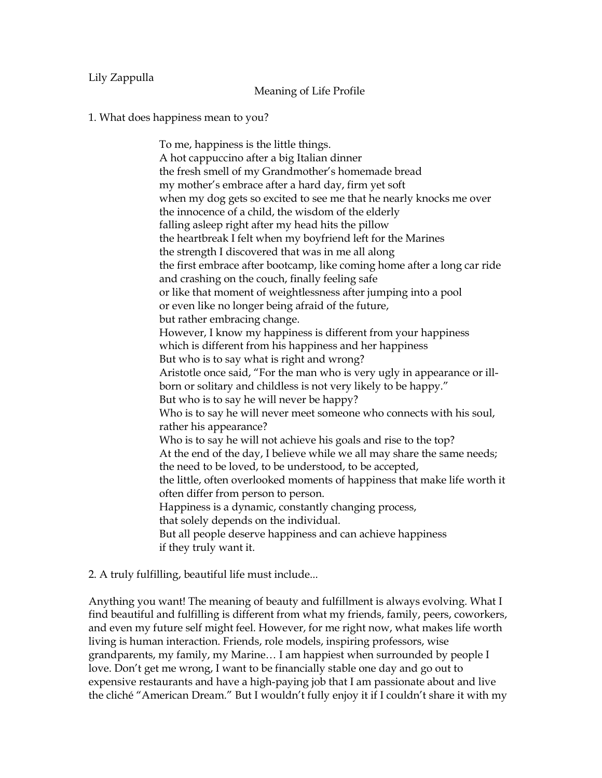## Lily Zappulla

## Meaning of Life Profile

## 1. What does happiness mean to you?

To me, happiness is the little things. A hot cappuccino after a big Italian dinner the fresh smell of my Grandmother's homemade bread my mother's embrace after a hard day, firm yet soft when my dog gets so excited to see me that he nearly knocks me over the innocence of a child, the wisdom of the elderly falling asleep right after my head hits the pillow the heartbreak I felt when my boyfriend left for the Marines the strength I discovered that was in me all along the first embrace after bootcamp, like coming home after a long car ride and crashing on the couch, finally feeling safe or like that moment of weightlessness after jumping into a pool or even like no longer being afraid of the future, but rather embracing change. However, I know my happiness is different from your happiness which is different from his happiness and her happiness But who is to say what is right and wrong? Aristotle once said, "For the man who is very ugly in appearance or illborn or solitary and childless is not very likely to be happy." But who is to say he will never be happy? Who is to say he will never meet someone who connects with his soul, rather his appearance? Who is to say he will not achieve his goals and rise to the top? At the end of the day, I believe while we all may share the same needs; the need to be loved, to be understood, to be accepted, the little, often overlooked moments of happiness that make life worth it often differ from person to person. Happiness is a dynamic, constantly changing process, that solely depends on the individual. But all people deserve happiness and can achieve happiness if they truly want it.

## 2. A truly fulfilling, beautiful life must include...

Anything you want! The meaning of beauty and fulfillment is always evolving. What I find beautiful and fulfilling is different from what my friends, family, peers, coworkers, and even my future self might feel. However, for me right now, what makes life worth living is human interaction. Friends, role models, inspiring professors, wise grandparents, my family, my Marine… I am happiest when surrounded by people I love. Don't get me wrong, I want to be financially stable one day and go out to expensive restaurants and have a high-paying job that I am passionate about and live the cliché "American Dream." But I wouldn't fully enjoy it if I couldn't share it with my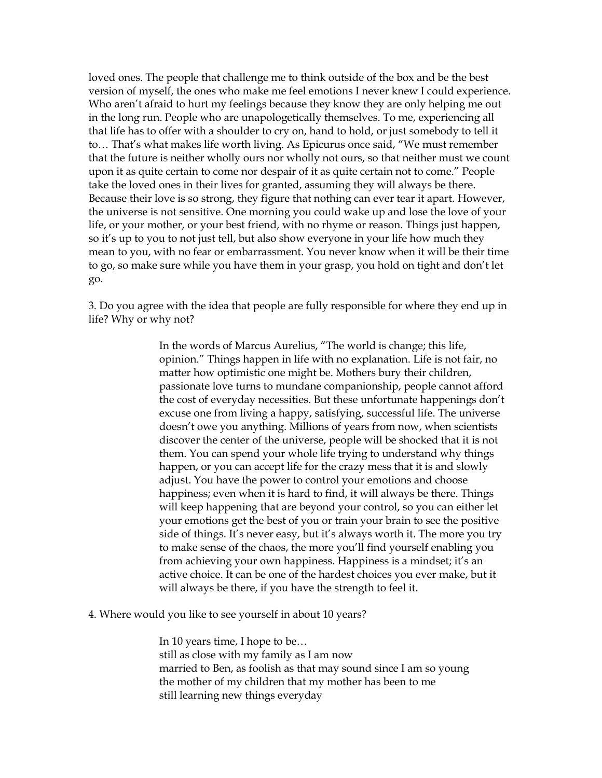loved ones. The people that challenge me to think outside of the box and be the best version of myself, the ones who make me feel emotions I never knew I could experience. Who aren't afraid to hurt my feelings because they know they are only helping me out in the long run. People who are unapologetically themselves. To me, experiencing all that life has to offer with a shoulder to cry on, hand to hold, or just somebody to tell it to… That's what makes life worth living. As Epicurus once said, "We must remember that the future is neither wholly ours nor wholly not ours, so that neither must we count upon it as quite certain to come nor despair of it as quite certain not to come." People take the loved ones in their lives for granted, assuming they will always be there. Because their love is so strong, they figure that nothing can ever tear it apart. However, the universe is not sensitive. One morning you could wake up and lose the love of your life, or your mother, or your best friend, with no rhyme or reason. Things just happen, so it's up to you to not just tell, but also show everyone in your life how much they mean to you, with no fear or embarrassment. You never know when it will be their time to go, so make sure while you have them in your grasp, you hold on tight and don't let go.

3. Do you agree with the idea that people are fully responsible for where they end up in life? Why or why not?

> In the words of Marcus Aurelius, "The world is change; this life, opinion." Things happen in life with no explanation. Life is not fair, no matter how optimistic one might be. Mothers bury their children, passionate love turns to mundane companionship, people cannot afford the cost of everyday necessities. But these unfortunate happenings don't excuse one from living a happy, satisfying, successful life. The universe doesn't owe you anything. Millions of years from now, when scientists discover the center of the universe, people will be shocked that it is not them. You can spend your whole life trying to understand why things happen, or you can accept life for the crazy mess that it is and slowly adjust. You have the power to control your emotions and choose happiness; even when it is hard to find, it will always be there. Things will keep happening that are beyond your control, so you can either let your emotions get the best of you or train your brain to see the positive side of things. It's never easy, but it's always worth it. The more you try to make sense of the chaos, the more you'll find yourself enabling you from achieving your own happiness. Happiness is a mindset; it's an active choice. It can be one of the hardest choices you ever make, but it will always be there, if you have the strength to feel it.

4. Where would you like to see yourself in about 10 years?

In 10 years time, I hope to be… still as close with my family as I am now married to Ben, as foolish as that may sound since I am so young the mother of my children that my mother has been to me still learning new things everyday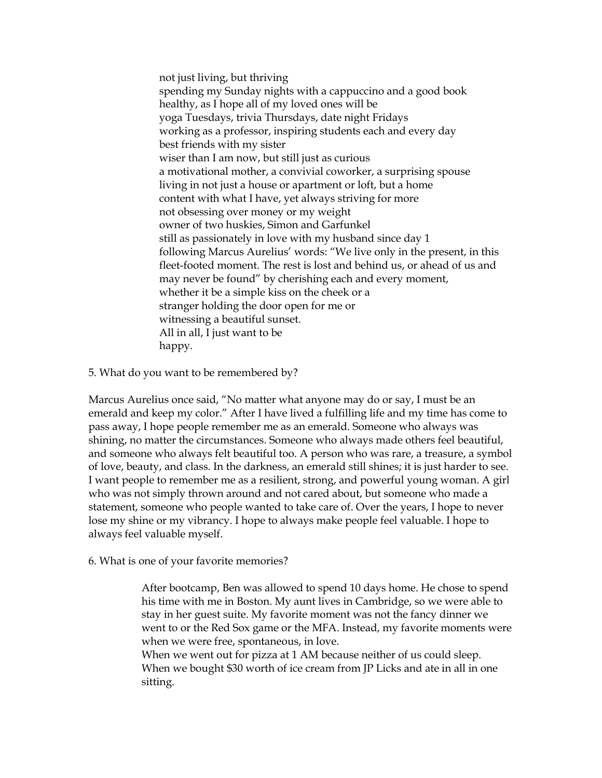not just living, but thriving spending my Sunday nights with a cappuccino and a good book healthy, as I hope all of my loved ones will be yoga Tuesdays, trivia Thursdays, date night Fridays working as a professor, inspiring students each and every day best friends with my sister wiser than I am now, but still just as curious a motivational mother, a convivial coworker, a surprising spouse living in not just a house or apartment or loft, but a home content with what I have, yet always striving for more not obsessing over money or my weight owner of two huskies, Simon and Garfunkel still as passionately in love with my husband since day 1 following Marcus Aurelius' words: "We live only in the present, in this fleet-footed moment. The rest is lost and behind us, or ahead of us and may never be found" by cherishing each and every moment, whether it be a simple kiss on the cheek or a stranger holding the door open for me or witnessing a beautiful sunset. All in all, I just want to be happy.

5. What do you want to be remembered by?

Marcus Aurelius once said, "No matter what anyone may do or say, I must be an emerald and keep my color." After I have lived a fulfilling life and my time has come to pass away, I hope people remember me as an emerald. Someone who always was shining, no matter the circumstances. Someone who always made others feel beautiful, and someone who always felt beautiful too. A person who was rare, a treasure, a symbol of love, beauty, and class. In the darkness, an emerald still shines; it is just harder to see. I want people to remember me as a resilient, strong, and powerful young woman. A girl who was not simply thrown around and not cared about, but someone who made a statement, someone who people wanted to take care of. Over the years, I hope to never lose my shine or my vibrancy. I hope to always make people feel valuable. I hope to always feel valuable myself.

6. What is one of your favorite memories?

After bootcamp, Ben was allowed to spend 10 days home. He chose to spend his time with me in Boston. My aunt lives in Cambridge, so we were able to stay in her guest suite. My favorite moment was not the fancy dinner we went to or the Red Sox game or the MFA. Instead, my favorite moments were when we were free, spontaneous, in love.

When we went out for pizza at 1 AM because neither of us could sleep. When we bought \$30 worth of ice cream from JP Licks and ate in all in one sitting.